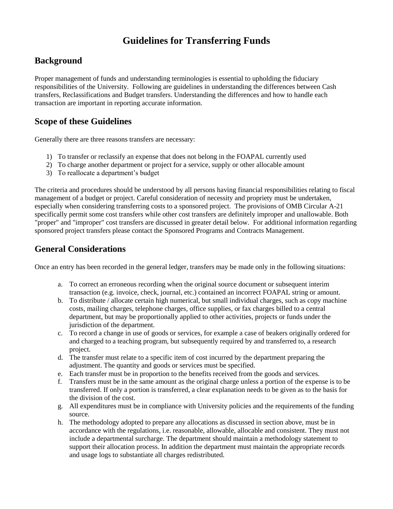# **Guidelines for Transferring Funds**

## **Background**

Proper management of funds and understanding terminologies is essential to upholding the fiduciary responsibilities of the University. Following are guidelines in understanding the differences between Cash transfers, Reclassifications and Budget transfers. Understanding the differences and how to handle each transaction are important in reporting accurate information.

## **Scope of these Guidelines**

Generally there are three reasons transfers are necessary:

- 1) To transfer or reclassify an expense that does not belong in the FOAPAL currently used
- 2) To charge another department or project for a service, supply or other allocable amount
- 3) To reallocate a department's budget

The criteria and procedures should be understood by all persons having financial responsibilities relating to fiscal management of a budget or project. Careful consideration of necessity and propriety must be undertaken, especially when considering transferring costs to a sponsored project. The provisions of OMB Circular A-21 specifically permit some cost transfers while other cost transfers are definitely improper and unallowable. Both "proper" and "improper" cost transfers are discussed in greater detail below. For additional information regarding sponsored project transfers please contact the Sponsored Programs and Contracts Management.

### **General Considerations**

Once an entry has been recorded in the general ledger, transfers may be made only in the following situations:

- a. To correct an erroneous recording when the original source document or subsequent interim transaction (e.g. invoice, check, journal, etc.) contained an incorrect FOAPAL string or amount.
- b. To distribute / allocate certain high numerical, but small individual charges, such as copy machine costs, mailing charges, telephone charges, office supplies, or fax charges billed to a central department, but may be proportionally applied to other activities, projects or funds under the jurisdiction of the department.
- c. To record a change in use of goods or services, for example a case of beakers originally ordered for and charged to a teaching program, but subsequently required by and transferred to, a research project.
- d. The transfer must relate to a specific item of cost incurred by the department preparing the adjustment. The quantity and goods or services must be specified.
- e. Each transfer must be in proportion to the benefits received from the goods and services.
- f. Transfers must be in the same amount as the original charge unless a portion of the expense is to be transferred. If only a portion is transferred, a clear explanation needs to be given as to the basis for the division of the cost.
- g. All expenditures must be in compliance with University policies and the requirements of the funding source.
- h. The methodology adopted to prepare any allocations as discussed in section above, must be in accordance with the regulations, i.e. reasonable, allowable, allocable and consistent. They must not include a departmental surcharge. The department should maintain a methodology statement to support their allocation process. In addition the department must maintain the appropriate records and usage logs to substantiate all charges redistributed.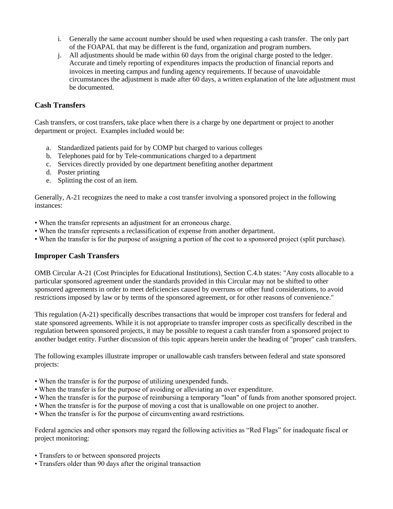- i. Generally the same account number should be used when requesting a cash transfer. The only part of the FOAPAL that may be different is the fund, organization and program numbers.
- j. All adjustments should be made within 60 days from the original charge posted to the ledger. Accurate and timely reporting of expenditures impacts the production of financial reports and invoices in meeting campus and funding agency requirements. If because of unavoidable circumstances the adjustment is made after 60 days, a written explanation of the late adjustment must be documented.

### **Cash Transfers**

Cash transfers, or cost transfers, take place when there is a charge by one department or project to another department or project. Examples included would be:

- a. Standardized patients paid for by COMP but charged to various colleges
- b. Telephones paid for by Tele-communications charged to a department
- c. Services directly provided by one department benefiting another department
- d. Poster printing
- e. Splitting the cost of an item.

Generally, A-21 recognizes the need to make a cost transfer involving a sponsored project in the following instances:

- When the transfer represents an adjustment for an erroneous charge.
- When the transfer represents a reclassification of expense from another department.
- When the transfer is for the purpose of assigning a portion of the cost to a sponsored project (split purchase).

#### **Improper Cash Transfers**

OMB Circular A-21 (Cost Principles for Educational Institutions), Section C.4.b states: "Any costs allocable to a particular sponsored agreement under the standards provided in this Circular may not be shifted to other sponsored agreements in order to meet deficiencies caused by overruns or other fund considerations, to avoid restrictions imposed by law or by terms of the sponsored agreement, or for other reasons of convenience."

This regulation (A-21) specifically describes transactions that would be improper cost transfers for federal and state sponsored agreements. While it is not appropriate to transfer improper costs as specifically described in the regulation between sponsored projects, it may be possible to request a cash transfer from a sponsored project to another budget entity. Further discussion of this topic appears herein under the heading of "proper" cash transfers.

The following examples illustrate improper or unallowable cash transfers between federal and state sponsored projects:

- When the transfer is for the purpose of utilizing unexpended funds.
- When the transfer is for the purpose of avoiding or alleviating an over expenditure.
- When the transfer is for the purpose of reimbursing a temporary "loan" of funds from another sponsored project.
- When the transfer is for the purpose of moving a cost that is unallowable on one project to another.
- When the transfer is for the purpose of circumventing award restrictions.

Federal agencies and other sponsors may regard the following activities as "Red Flags" for inadequate fiscal or project monitoring:

- Transfers to or between sponsored projects
- Transfers older than 90 days after the original transaction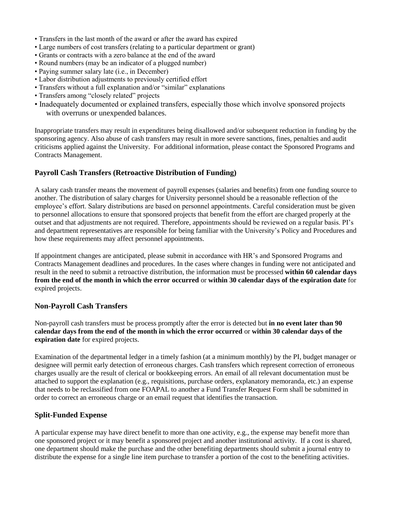- Transfers in the last month of the award or after the award has expired
- Large numbers of cost transfers (relating to a particular department or grant)
- Grants or contracts with a zero balance at the end of the award
- Round numbers (may be an indicator of a plugged number)
- Paying summer salary late (i.e., in December)
- Labor distribution adjustments to previously certified effort
- Transfers without a full explanation and/or "similar" explanations
- Transfers among "closely related" projects
- Inadequately documented or explained transfers, especially those which involve sponsored projects with overruns or unexpended balances.

Inappropriate transfers may result in expenditures being disallowed and/or subsequent reduction in funding by the sponsoring agency. Also abuse of cash transfers may result in more severe sanctions, fines, penalties and audit criticisms applied against the University. For additional information, please contact the Sponsored Programs and Contracts Management.

### **Payroll Cash Transfers (Retroactive Distribution of Funding)**

A salary cash transfer means the movement of payroll expenses (salaries and benefits) from one funding source to another. The distribution of salary charges for University personnel should be a reasonable reflection of the employee's effort. Salary distributions are based on personnel appointments. Careful consideration must be given to personnel allocations to ensure that sponsored projects that benefit from the effort are charged properly at the outset and that adjustments are not required. Therefore, appointments should be reviewed on a regular basis. PI's and department representatives are responsible for being familiar with the University's Policy and Procedures and how these requirements may affect personnel appointments.

If appointment changes are anticipated, please submit in accordance with HR's and Sponsored Programs and Contracts Management deadlines and procedures. In the cases where changes in funding were not anticipated and result in the need to submit a retroactive distribution, the information must be processed **within 60 calendar days from the end of the month in which the error occurred** or **within 30 calendar days of the expiration date** for expired projects.

#### **Non-Payroll Cash Transfers**

Non-payroll cash transfers must be process promptly after the error is detected but **in no event later than 90 calendar days from the end of the month in which the error occurred** or **within 30 calendar days of the expiration date** for expired projects.

Examination of the departmental ledger in a timely fashion (at a minimum monthly) by the PI, budget manager or designee will permit early detection of erroneous charges. Cash transfers which represent correction of erroneous charges usually are the result of clerical or bookkeeping errors. An email of all relevant documentation must be attached to support the explanation (e.g., requisitions, purchase orders, explanatory memoranda, etc.) an expense that needs to be reclassified from one FOAPAL to another a Fund Transfer Request Form shall be submitted in order to correct an erroneous charge or an email request that identifies the transaction.

#### **Split-Funded Expense**

A particular expense may have direct benefit to more than one activity, e.g., the expense may benefit more than one sponsored project or it may benefit a sponsored project and another institutional activity. If a cost is shared, one department should make the purchase and the other benefiting departments should submit a journal entry to distribute the expense for a single line item purchase to transfer a portion of the cost to the benefiting activities.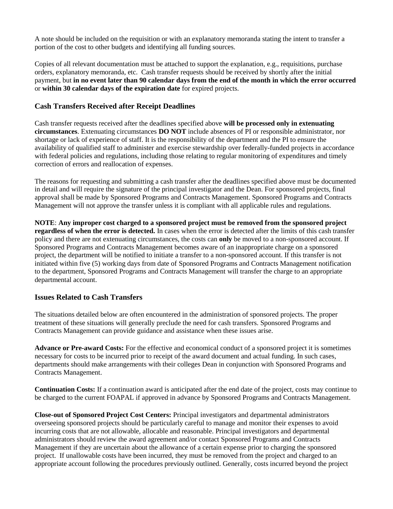A note should be included on the requisition or with an explanatory memoranda stating the intent to transfer a portion of the cost to other budgets and identifying all funding sources.

Copies of all relevant documentation must be attached to support the explanation, e.g., requisitions, purchase orders, explanatory memoranda, etc. Cash transfer requests should be received by shortly after the initial payment, but **in no event later than 90 calendar days from the end of the month in which the error occurred** or **within 30 calendar days of the expiration date** for expired projects.

### **Cash Transfers Received after Receipt Deadlines**

Cash transfer requests received after the deadlines specified above **will be processed only in extenuating circumstances**. Extenuating circumstances **DO NOT** include absences of PI or responsible administrator, nor shortage or lack of experience of staff. It is the responsibility of the department and the PI to ensure the availability of qualified staff to administer and exercise stewardship over federally-funded projects in accordance with federal policies and regulations, including those relating to regular monitoring of expenditures and timely correction of errors and reallocation of expenses.

The reasons for requesting and submitting a cash transfer after the deadlines specified above must be documented in detail and will require the signature of the principal investigator and the Dean. For sponsored projects, final approval shall be made by Sponsored Programs and Contracts Management. Sponsored Programs and Contracts Management will not approve the transfer unless it is compliant with all applicable rules and regulations.

**NOTE**: **Any improper cost charged to a sponsored project must be removed from the sponsored project regardless of when the error is detected.** In cases when the error is detected after the limits of this cash transfer policy and there are not extenuating circumstances, the costs can **only** be moved to a non-sponsored account. If Sponsored Programs and Contracts Management becomes aware of an inappropriate charge on a sponsored project, the department will be notified to initiate a transfer to a non-sponsored account. If this transfer is not initiated within five (5) working days from date of Sponsored Programs and Contracts Management notification to the department, Sponsored Programs and Contracts Management will transfer the charge to an appropriate departmental account.

#### **Issues Related to Cash Transfers**

The situations detailed below are often encountered in the administration of sponsored projects. The proper treatment of these situations will generally preclude the need for cash transfers. Sponsored Programs and Contracts Management can provide guidance and assistance when these issues arise.

**Advance or Pre-award Costs:** For the effective and economical conduct of a sponsored project it is sometimes necessary for costs to be incurred prior to receipt of the award document and actual funding. In such cases, departments should make arrangements with their colleges Dean in conjunction with Sponsored Programs and Contracts Management.

**Continuation Costs:** If a continuation award is anticipated after the end date of the project, costs may continue to be charged to the current FOAPAL if approved in advance by Sponsored Programs and Contracts Management.

**Close-out of Sponsored Project Cost Centers:** Principal investigators and departmental administrators overseeing sponsored projects should be particularly careful to manage and monitor their expenses to avoid incurring costs that are not allowable, allocable and reasonable. Principal investigators and departmental administrators should review the award agreement and/or contact Sponsored Programs and Contracts Management if they are uncertain about the allowance of a certain expense prior to charging the sponsored project. If unallowable costs have been incurred, they must be removed from the project and charged to an appropriate account following the procedures previously outlined. Generally, costs incurred beyond the project